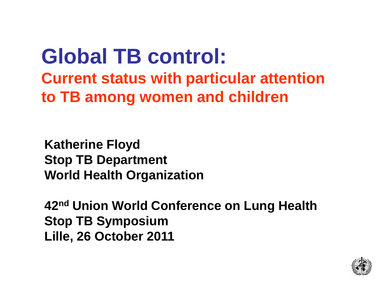### **Global TB control: Current status with particular attention to TB among women and children**

**Katherine Floyd Stop TB Department World Health Organization**

**42nd Union World Conference on Lung Health Stop TB Symposium Lille, 26 October 2011**

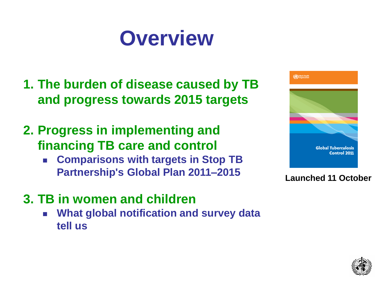# **Overview**

- **1. The burden of disease caused by TB and progress towards 2015 targets**
- **2. Progress in implementing and financing TB care and control**
	- **Comparisons with targets in Stop TB Partnership's Global Plan 2011–2015**
- **3. TB in women and children**
	- **What global notification and survey data tell us**



#### **Launched 11 October**

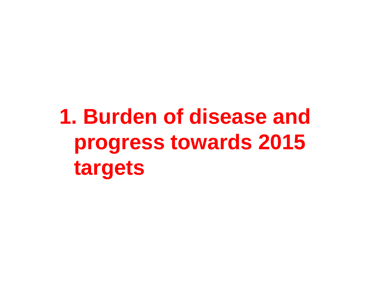# **1. Burden of disease and progress towards 2015 targets**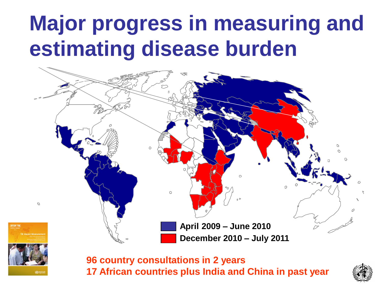### Progress in applying the Task Force framework for assessment estimating disease burden **Major progress in measuring and**





**96 country consultations in 2 years 17 African countries plus India and China in past year**

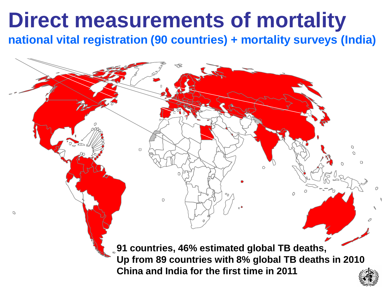## **Direct measurements of mortality**

C<br>Cibal prins in the mation direct which discussed the indial term is the TB mortality are actional to the avail **national vital registration (90 countries) + mortality surveys (India)**

> $\Omega$  $\mathcal{O}$ **91 countries, 46% estimated global TB deaths, Up from 89 countries with 8% global TB deaths in 2010 China and India for the first time in 2011**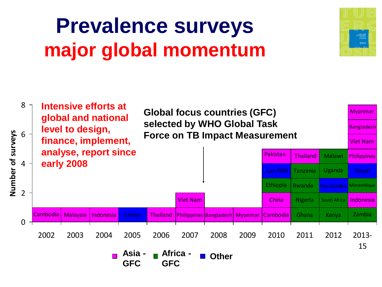## **Prevalence surveys major global momentum**



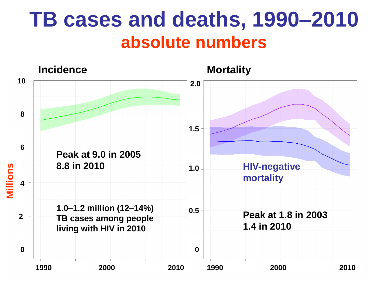### **TB cases and deaths, 1990–2010 absolute numbers**

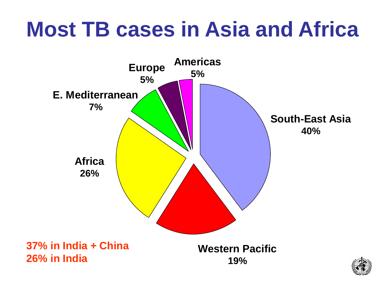# **Most TB cases in Asia and Africa**



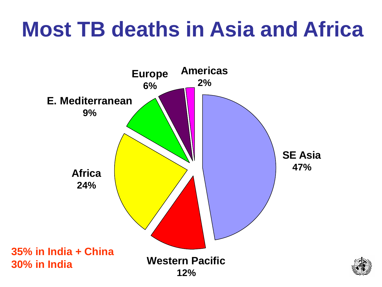# **Most TB deaths in Asia and Africa**



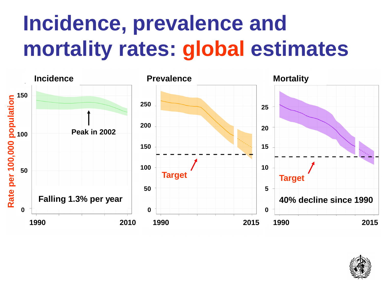# **Incidence, prevalence and mortality rates: global estimates**



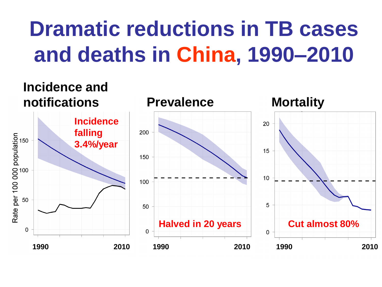# **Dramatic reductions in TB cases and deaths in China, 1990–2010**

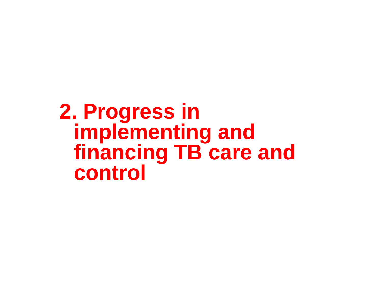**2. Progress in implementing and financing TB care and control**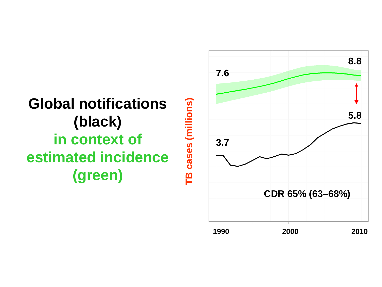### **Global notifications (black) in context of estimated incidence (green)**

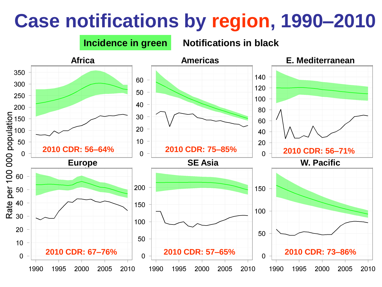### **Case notifications by region, 1990–2010**

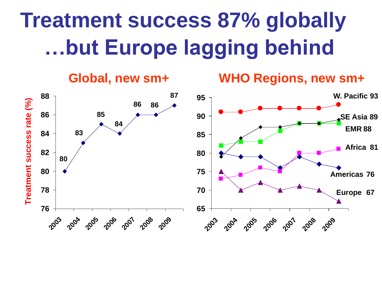# **Treatment success 87% globally …but Europe lagging behind**

**Global, new sm+ WHO Regions, new sm+**

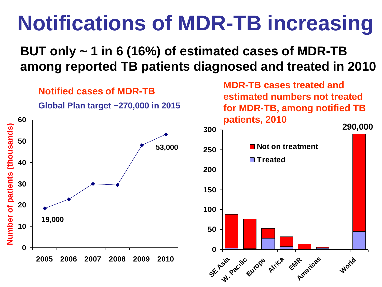# **Notifications of MDR-TB increasing**

### **BUT only ~ 1 in 6 (16%) of estimated cases of MDR-TB among reported TB patients diagnosed and treated in 2010**

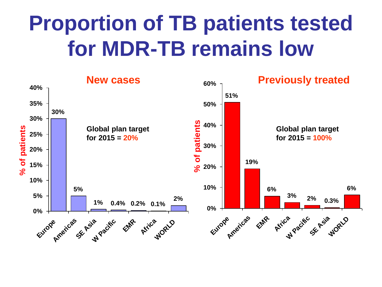## **Proportion of TB patients tested for MDR-TB remains low**

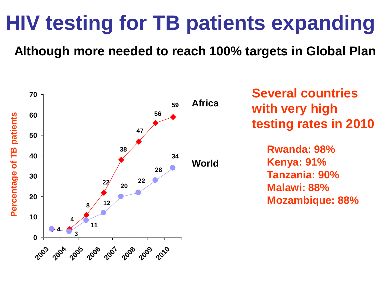## **HIV testing for TB patients expanding**

**Although more needed to reach 100% targets in Global Plan**



**Several countries with very high testing rates in 2010**

> **Rwanda: 98% Kenya: 91% Tanzania: 90% Malawi: 88% Mozambique: 88%**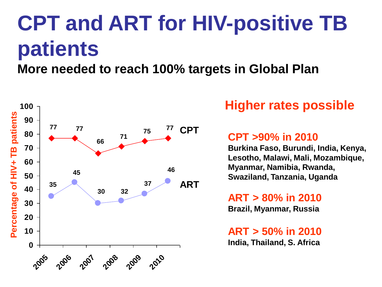# **CPT and ART for HIV-positive TB patients**

### **More needed to reach 100% targets in Global Plan**



### **Higher rates possible**

#### **CPT >90% in 2010**

**Burkina Faso, Burundi, India, Kenya, Lesotho, Malawi, Mali, Mozambique, Myanmar, Namibia, Rwanda, Swaziland, Tanzania, Uganda**

#### **ART > 80% in 2010**

**Brazil, Myanmar, Russia**

**ART > 50% in 2010 India, Thailand, S. Africa**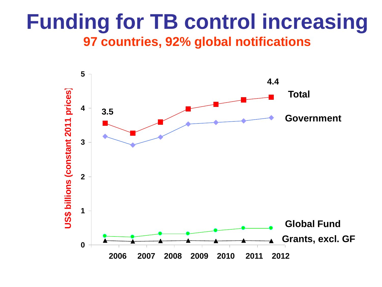### **Funding for TB control increasing 97 countries, 92% global notifications**

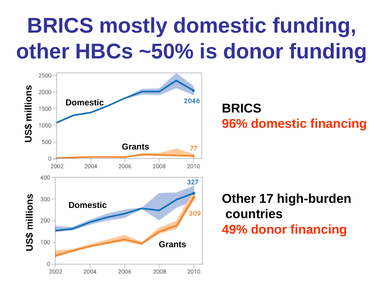# **BRICS mostly domestic funding, other HBCs ~50% is donor funding**



**BRICS 96% domestic financing**

### **Other 17 high-burden countries 49% donor financing**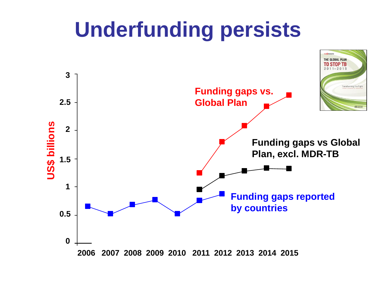## **Underfunding persists**

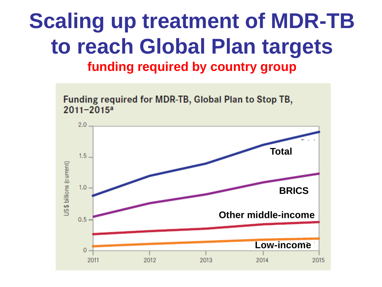### **Scaling up treatment of MDR-TB to reach Global Plan targets funding required by country group**

Funding required for MDR-TB, Global Plan to Stop TB,  $2011 - 2015^a$ 

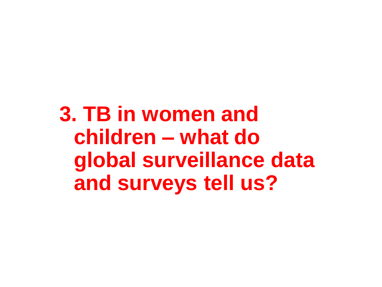**3. TB in women and children – what do global surveillance data and surveys tell us?**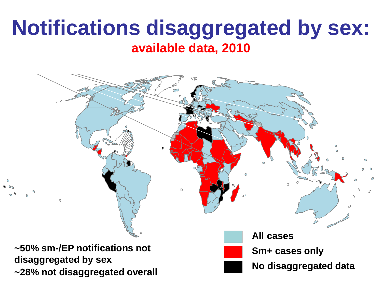### **Notifications disaggregated by sex: available data, 2010**

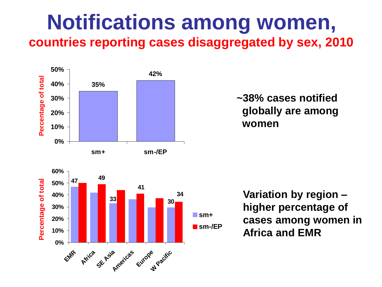### **Notifications among women, countries reporting cases disaggregated by sex, 2010**



 **~38% cases notified globally are among women**



**Variation by region – higher percentage of cases among women in Africa and EMR**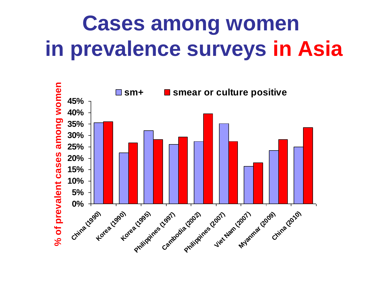## **Cases among women in prevalence surveys in Asia**

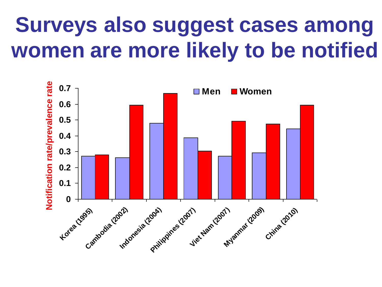## **Surveys also suggest cases among women are more likely to be notified**

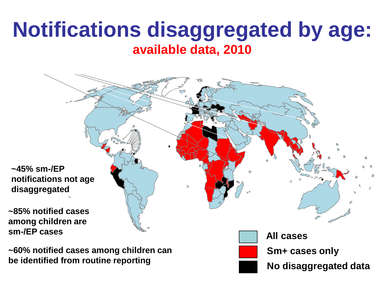### **Notifications disaggregated by age: available data, 2010**



**be identified from routine reporting**

**No disaggregated data**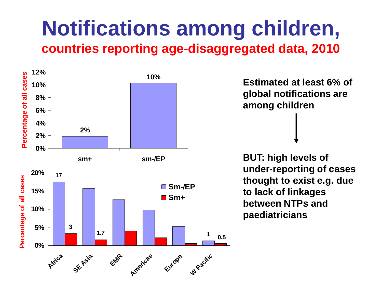### **Notifications among children, countries reporting age-disaggregated data, 2010**



**Estimated at least 6% of global notifications are among children**

**BUT: high levels of under-reporting of cases thought to exist e.g. due to lack of linkages between NTPs and paediatricians**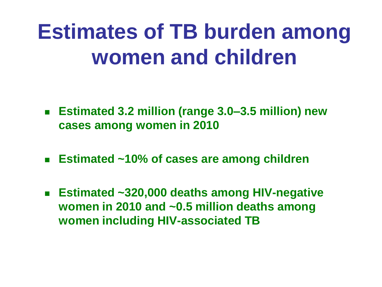# **Estimates of TB burden among women and children**

- **Estimated 3.2 million (range 3.0–3.5 million) new cases among women in 2010**
- **Estimated ~10% of cases are among children**
- **Estimated ~320,000 deaths among HIV-negative women in 2010 and ~0.5 million deaths among women including HIV-associated TB**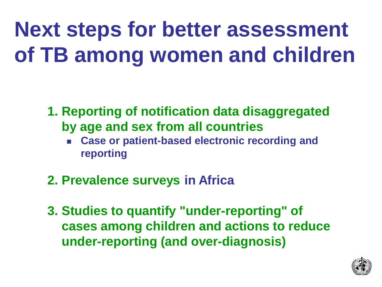# **Next steps for better assessment of TB among women and children**

- **1. Reporting of notification data disaggregated by age and sex from all countries**
	- **Case or patient-based electronic recording and reporting**
- **2. Prevalence surveys in Africa**
- **3. Studies to quantify "under-reporting" of cases among children and actions to reduce under-reporting (and over-diagnosis)**

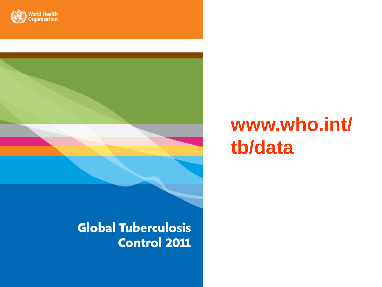



### **www.who.int/ tb/data**

### **Global Tuberculosis Control 2011**